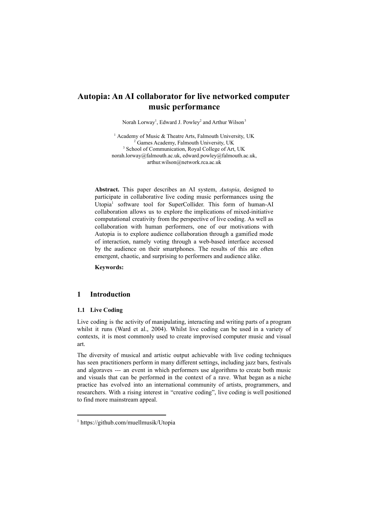# **Autopia: An AI collaborator for live networked computer music performance**

Norah Lorway<sup>1</sup>, Edward J. Powley<sup>2</sup> and Arthur Wilson<sup>3</sup>

<sup>1</sup> Academy of Music & Theatre Arts, Falmouth University, UK <sup>2</sup> Games Academy, Falmouth University, UK <sup>3</sup> School of Communication, Royal College of Art, UK norah.lorway@falmouth.ac.uk, edward.powley@falmouth.ac.uk, arthur.wilson@network.rca.ac.uk

**Abstract.** This paper describes an AI system, *Autopia*, designed to participate in collaborative live coding music performances using the Utopia<sup>1</sup> software tool for SuperCollider. This form of human-AI collaboration allows us to explore the implications of mixed-initiative computational creativity from the perspective of live coding. As well as collaboration with human performers, one of our motivations with Autopia is to explore audience collaboration through a gamified mode of interaction, namely voting through a web-based interface accessed by the audience on their smartphones. The results of this are often emergent, chaotic, and surprising to performers and audience alike.

**Keywords:**

## **1 Introduction**

#### **1.1 Live Coding**

Live coding is the activity of manipulating, interacting and writing parts of a program whilst it runs (Ward et al., 2004). Whilst live coding can be used in a variety of contexts, it is most commonly used to create improvised computer music and visual art.

The diversity of musical and artistic output achievable with live coding techniques has seen practitioners perform in many different settings, including jazz bars, festivals and algoraves --- an event in which performers use algorithms to create both music and visuals that can be performed in the context of a rave. What began as a niche practice has evolved into an international community of artists, programmers, and researchers. With a rising interest in "creative coding", live coding is well positioned to find more mainstream appeal.

<sup>1</sup> https://github.com/muellmusik/Utopia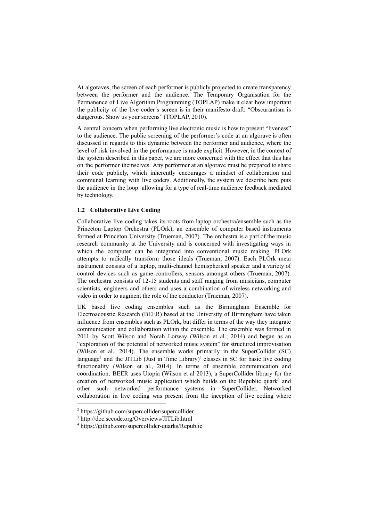At algoraves, the screen of each performer is publicly projected to create transparency between the performer and the audience. The Temporary Organisation for the Permanence of Live Algorithm Programming (TOPLAP) make it clear how important the publicity of the live coder's screen is in their manifesto draft: "Obscurantism is dangerous. Show us your screens" (TOPLAP, 2010).

A central concern when performing live electronic music is how to present "liveness" to the audience. The public screening of the performer's code at an algorave is often discussed in regards to this dynamic between the performer and audience, where the level of risk involved in the performance is made explicit. However, in the context of the system described in this paper, we are more concerned with the effect that this has on the performer themselves. Any performer at an algorave must be prepared to share their code publicly, which inherently encourages a mindset of collaboration and communal learning with live coders. Additionally, the system we describe here puts the audience in the loop: allowing for a type of real-time audience feedback mediated by technology.

#### **1.2 Collaborative Live Coding**

Collaborative live coding takes its roots from laptop orchestra/ensemble such as the Princeton Laptop Orchestra (PLOrk), an ensemble of computer based instruments formed at Princeton University (Trueman, 2007). The orchestra is a part of the music research community at the University and is concerned with investigating ways in which the computer can be integrated into conventional music making. PLOrk attempts to radically transform those ideals (Trueman, 2007). Each PLOrk meta instrument consists of a laptop, multi-channel hemispherical speaker and a variety of control devices such as game controllers, sensors amongst others (Trueman, 2007). The orchestra consists of 12-15 students and staff ranging from musicians, computer scientists, engineers and others and uses a combination of wireless networking and video in order to augment the role of the conductor (Trueman, 2007).

UK based live coding ensembles such as the Birmingham Ensemble for Electroacoustic Research (BEER) based at the University of Birmingham have taken influence from ensembles such as PLOrk, but differ in terms of the way they integrate communication and collaboration within the ensemble. The ensemble was formed in 2011 by Scott Wilson and Norah Lorway (Wilson et al., 2014) and began as an "exploration of the potential of networked music system" for structured improvisation (Wilson et al., 2014). The ensemble works primarily in the SuperCollider (SC) language<sup>2</sup> and the JITLib (Just in Time Library)<sup>3</sup> classes in SC for basic live coding functionality (Wilson et al., 2014). In terms of ensemble communication and coordination, BEER uses Utopia (Wilson et al 2013), a SuperCollider library for the creation of networked music application which builds on the Republic quark<sup>4</sup> and other such networked performance systems in SuperCollider. Networked collaboration in live coding was present from the inception of live coding where

<sup>2</sup> https://github.com/supercollider/supercollider

<sup>3</sup> http://doc.sccode.org/Overviews/JITLib.html

<sup>4</sup> https://github.com/supercollider-quarks/Republic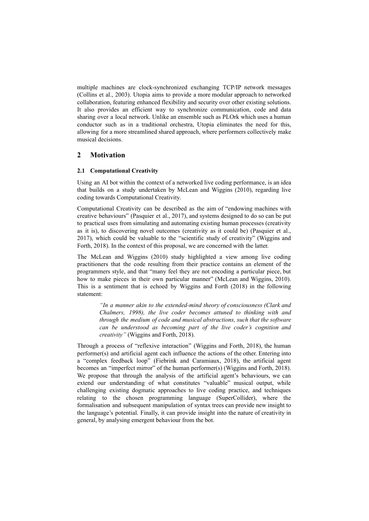multiple machines are clock-synchronized exchanging TCP/IP network messages (Collins et al., 2003). Utopia aims to provide a more modular approach to networked collaboration, featuring enhanced flexibility and security over other existing solutions. It also provides an efficient way to synchronize communication, code and data sharing over a local network. Unlike an ensemble such as PLOrk which uses a human conductor such as in a traditional orchestra, Utopia eliminates the need for this, allowing for a more streamlined shared approach, where performers collectively make musical decisions.

## **2 Motivation**

### **2.1 Computational Creativity**

Using an AI bot within the context of a networked live coding performance, is an idea that builds on a study undertaken by McLean and Wiggins (2010), regarding live coding towards Computational Creativity.

Computational Creativity can be described as the aim of "endowing machines with creative behaviours" (Pasquier et al., 2017), and systems designed to do so can be put to practical uses from simulating and automating existing human processes (creativity as it is), to discovering novel outcomes (creativity as it could be) (Pasquier et al., 2017), which could be valuable to the "scientific study of creativity" (Wiggins and Forth, 2018). In the context of this proposal, we are concerned with the latter.

The McLean and Wiggins (2010) study highlighted a view among live coding practitioners that the code resulting from their practice contains an element of the programmers style, and that "many feel they are not encoding a particular piece, but how to make pieces in their own particular manner" (McLean and Wiggins, 2010). This is a sentiment that is echoed by Wiggins and Forth (2018) in the following statement:

> *"In a manner akin to the extended-mind theory of consciousness (Clark and Chalmers, 1998), the live coder becomes attuned to thinking with and through the medium of code and musical abstractions, such that the software can be understood as becoming part of the live coder's cognition and creativity"* (Wiggins and Forth, 2018).

Through a process of "reflexive interaction" (Wiggins and Forth, 2018), the human performer(s) and artificial agent each influence the actions of the other. Entering into a "complex feedback loop" (Fiebrink and Caramiaux, 2018), the artificial agent becomes an "imperfect mirror" of the human performer(s) (Wiggins and Forth, 2018). We propose that through the analysis of the artificial agent's behaviours, we can extend our understanding of what constitutes "valuable" musical output, while challenging existing dogmatic approaches to live coding practice, and techniques relating to the chosen programming language (SuperCollider), where the formalisation and subsequent manipulation of syntax trees can provide new insight to the language's potential. Finally, it can provide insight into the nature of creativity in general, by analysing emergent behaviour from the bot.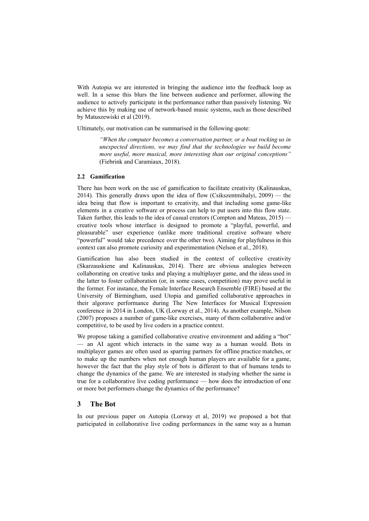With Autopia we are interested in bringing the audience into the feedback loop as well. In a sense this blurs the line between audience and performer, allowing the audience to actively participate in the performance rather than passively listening. We achieve this by making use of network-based music systems, such as those described by Matuszewiski et al (2019).

Ultimately, our motivation can be summarised in the following quote:

*"When the computer becomes a conversation partner, or a boat rocking us in unexpected directions, we may find that the technologies we build become more useful, more musical, more interesting than our original conceptions"* (Fiebrink and Caramiaux, 2018).

#### **2.2 Gamification**

There has been work on the use of gamification to facilitate creativity (Kalinauskas, 2014). This generally draws upon the idea of flow (Csikszentmihalyi, 2009) — the idea being that flow is important to creativity, and that including some game-like elements in a creative software or process can help to put users into this flow state. Taken further, this leads to the idea of casual creators (Compton and Mateas, 2015) creative tools whose interface is designed to promote a "playful, powerful, and pleasurable" user experience (unlike more traditional creative software where "powerful" would take precedence over the other two). Aiming for playfulness in this context can also promote curiosity and experimentation (Nelson et al., 2018).

Gamification has also been studied in the context of collective creativity (Skarzauskiene and Kalinauskas, 2014). There are obvious analogies between collaborating on creative tasks and playing a multiplayer game, and the ideas used in the latter to foster collaboration (or, in some cases, competition) may prove useful in the former. For instance, the Female Interface Research Ensemble (FIRE) based at the University of Birmingham, used Utopia and gamified collaborative approaches in their algorave performance during The New Interfaces for Musical Expression conference in 2014 in London, UK (Lorway et al., 2014). As another example, Nilson (2007) proposes a number of game-like exercises, many of them collaborative and/or competitive, to be used by live coders in a practice context.

We propose taking a gamified collaborative creative environment and adding a "bot" — an AI agent which interacts in the same way as a human would. Bots in multiplayer games are often used as sparring partners for offline practice matches, or to make up the numbers when not enough human players are available for a game, however the fact that the play style of bots is different to that of humans tends to change the dynamics of the game. We are interested in studying whether the same is true for a collaborative live coding performance — how does the introduction of one or more bot performers change the dynamics of the performance?

### **3 The Bot**

In our previous paper on Autopia (Lorway et al, 2019) we proposed a bot that participated in collaborative live coding performances in the same way as a human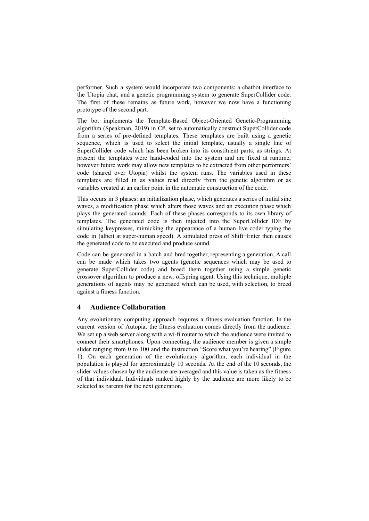performer. Such a system would incorporate two components: a chatbot interface to the Utopia chat, and a genetic programming system to generate SuperCollider code. The first of these remains as future work, however we now have a functioning prototype of the second part.

The bot implements the Template-Based Object-Oriented Genetic-Programming algorithm (Speakman, 2019) in C#, set to automatically construct SuperCollider code from a series of pre-defined templates. These templates are built using a genetic sequence, which is used to select the initial template, usually a single line of SuperCollider code which has been broken into its constituent parts, as strings. At present the templates were hand-coded into the system and are fixed at runtime, however future work may allow new templates to be extracted from other performers' code (shared over Utopia) whilst the system runs. The variables used in these templates are filled in as values read directly from the genetic algorithm or as variables created at an earlier point in the automatic construction of the code.

This occurs in 3 phases: an initialization phase, which generates a series of initial sine waves, a modification phase which alters those waves and an execution phase which plays the generated sounds. Each of these phases corresponds to its own library of templates. The generated code is then injected into the SuperCollider IDE by simulating keypresses, mimicking the appearance of a human live coder typing the code in (albeit at super-human speed). A simulated press of Shift+Enter then causes the generated code to be executed and produce sound.

Code can be generated in a batch and bred together, representing a generation. A call can be made which takes two agents (genetic sequences which may be used to generate SuperCollider code) and breed them together using a simple genetic crossover algorithm to produce a new, offspring agent. Using this technique, multiple generations of agents may be generated which can be used, with selection, to breed against a fitness function.

### **4 Audience Collaboration**

Any evolutionary computing approach requires a fitness evaluation function. In the current version of Autopia, the fitness evaluation comes directly from the audience. We set up a web server along with a wi-fi router to which the audience were invited to connect their smartphones. Upon connecting, the audience member is given a simple slider ranging from 0 to 100 and the instruction "Score what you're hearing" (Figure 1). On each generation of the evolutionary algorithm, each individual in the population is played for approximately 10 seconds. At the end of the 10 seconds, the slider values chosen by the audience are averaged and this value is taken as the fitness of that individual. Individuals ranked highly by the audience are more likely to be selected as parents for the next generation.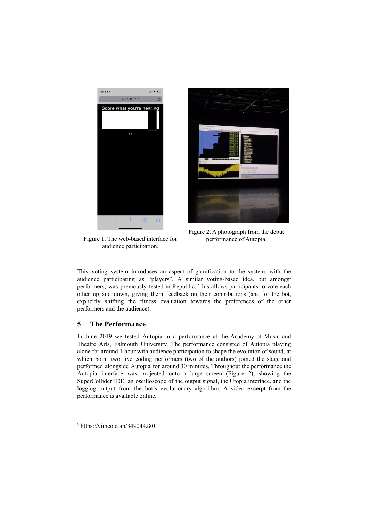



Figure 1. The web-based interface for audience participation.

Figure 2. A photograph from the debut performance of Autopia.

This voting system introduces an aspect of gamification to the system, with the audience participating as "players". A similar voting-based idea, but amongst performers, was previously tested in Republic. This allows participants to vote each other up and down, giving them feedback on their contributions (and for the bot, explicitly shifting the fitness evaluation towards the preferences of the other performers and the audience).

# **5 The Performance**

In June 2019 we tested Autopia in a performance at the Academy of Music and Theatre Arts, Falmouth University. The performance consisted of Autopia playing alone for around 1 hour with audience participation to shape the evolution of sound, at which point two live coding performers (two of the authors) joined the stage and performed alongside Autopia for around 30 minutes. Throughout the performance the Autopia interface was projected onto a large screen (Figure 2), showing the SuperCollider IDE, an oscilloscope of the output signal, the Utopia interface, and the logging output from the bot's evolutionary algorithm. A video excerpt from the performance is available online. 5

<sup>5</sup> https://vimeo.com/349044280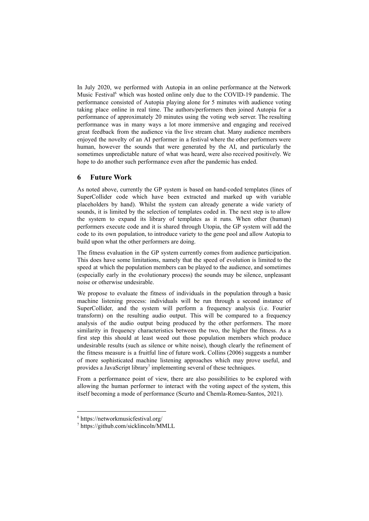In July 2020, we performed with Autopia in an online performance at the Network Music Festival<sup>6</sup> which was hosted online only due to the COVID-19 pandemic. The performance consisted of Autopia playing alone for 5 minutes with audience voting taking place online in real time. The authors/performers then joined Autopia for a performance of approximately 20 minutes using the voting web server. The resulting performance was in many ways a lot more immersive and engaging and received great feedback from the audience via the live stream chat. Many audience members enjoyed the novelty of an AI performer in a festival where the other performers were human, however the sounds that were generated by the AI, and particularly the sometimes unpredictable nature of what was heard, were also received positively. We hope to do another such performance even after the pandemic has ended.

# **6 Future Work**

As noted above, currently the GP system is based on hand-coded templates (lines of SuperCollider code which have been extracted and marked up with variable placeholders by hand). Whilst the system can already generate a wide variety of sounds, it is limited by the selection of templates coded in. The next step is to allow the system to expand its library of templates as it runs. When other (human) performers execute code and it is shared through Utopia, the GP system will add the code to its own population, to introduce variety to the gene pool and allow Autopia to build upon what the other performers are doing.

The fitness evaluation in the GP system currently comes from audience participation. This does have some limitations, namely that the speed of evolution is limited to the speed at which the population members can be played to the audience, and sometimes (especially early in the evolutionary process) the sounds may be silence, unpleasant noise or otherwise undesirable.

We propose to evaluate the fitness of individuals in the population through a basic machine listening process: individuals will be run through a second instance of SuperCollider, and the system will perform a frequency analysis (i.e. Fourier transform) on the resulting audio output. This will be compared to a frequency analysis of the audio output being produced by the other performers. The more similarity in frequency characteristics between the two, the higher the fitness. As a first step this should at least weed out those population members which produce undesirable results (such as silence or white noise), though clearly the refinement of the fitness measure is a fruitful line of future work. Collins (2006) suggests a number of more sophisticated machine listening approaches which may prove useful, and provides a JavaScript library<sup>7</sup> implementing several of these techniques.

From a performance point of view, there are also possibilities to be explored with allowing the human performer to interact with the voting aspect of the system, this itself becoming a mode of performance (Scurto and Chemla-Romeu-Santos, 2021).

<sup>6</sup> https://networkmusicfestival.org/

<sup>7</sup> https://github.com/sicklincoln/MMLL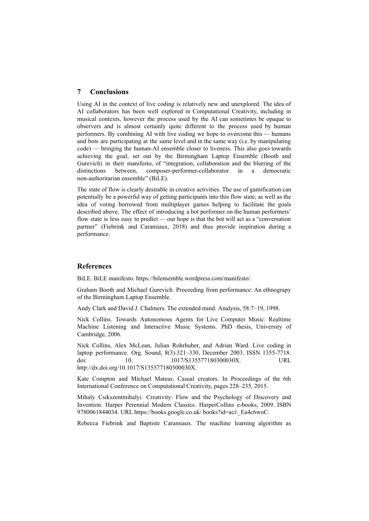# **7 Conclusions**

Using AI in the context of live coding is relatively new and unexplored. The idea of AI collaborators has been well explored in Computational Creativity, including in musical contexts, however the process used by the AI can sometimes be opaque to observers and is almost certainly quite different to the process used by human performers. By combining AI with live coding we hope to overcome this — humans and bots are participating at the same level and in the same way (i.e. by manipulating code) — bringing the human-AI ensemble closer to liveness. This also goes towards achieving the goal, set out by the Birmingham Laptop Ensemble (Booth and Gurevich) in their manifesto, of "integration, collaboration and the blurring of the distinctions between, composer-performer-collaborator in a democratic non-authoritarian ensemble" (BiLE).

The state of flow is clearly desirable in creative activities. The use of gamification can potentially be a powerful way of getting participants into this flow state, as well as the idea of voting borrowed from multiplayer games helping to facilitate the goals described above. The effect of introducing a bot performer on the human performers' flow state is less easy to predict — our hope is that the bot will act as a "conversation partner" (Fiebrink and Caramiaux, 2018) and thus provide inspiration during a performance.

### **References**

BiLE. BiLE manifesto. https://bilensemble.wordpress.com/manifesto/.

Graham Booth and Michael Gurevich. Proceeding from performance: An ethnograpy of the Birmingham Laptop Ensemble.

Andy Clark and David J. Chalmers. The extended mind. Analysis, 58:7–19, 1998.

Nick Collins. Towards Autonomous Agents for Live Computer Music: Realtime Machine Listening and Interactive Music Systems. PhD thesis, University of Cambridge, 2006.

Nick Collins, Alex McLean, Julian Rohrhuber, and Adrian Ward. Live coding in laptop performance. Org. Sound, 8(3):321–330, December 2003. ISSN 1355-7718. doi: 10. 1017/S135577180300030X. URL http://dx.doi.org/10.1017/S135577180300030X.

Kate Compton and Michael Mateas. Casual creators. In Proceedings of the 6th International Conference on Computational Creativity, pages 228–235, 2015.

Mihaly Csikszentmihalyi. Creativity: Flow and the Psychology of Discovery and Invention. Harper Perennial Modern Classics. HarperCollins e-books, 2009. ISBN 9780061844034. URL https://books.google.co.uk/ books?id=aci\ Ea4c6woC.

Rebecca Fiebrink and Baptiste Caramiaux. The machine learning algorithm as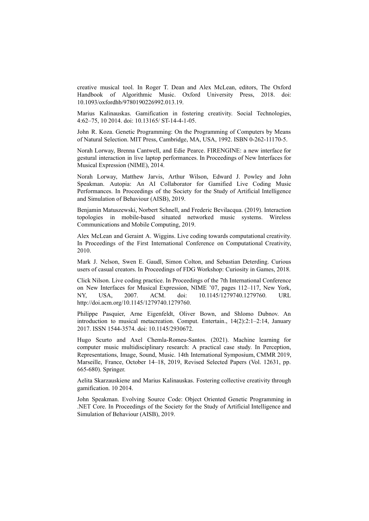creative musical tool. In Roger T. Dean and Alex McLean, editors, The Oxford Handbook of Algorithmic Music. Oxford University Press, 2018. doi: 10.1093/oxfordhb/9780190226992.013.19.

Marius Kalinauskas. Gamification in fostering creativity. Social Technologies, 4:62–75, 10 2014. doi: 10.13165/ ST-14-4-1-05.

John R. Koza. Genetic Programming: On the Programming of Computers by Means of Natural Selection. MIT Press, Cambridge, MA, USA, 1992. ISBN 0-262-11170-5.

Norah Lorway, Brenna Cantwell, and Edie Pearce. FIRENGINE: a new interface for gestural interaction in live laptop performances. In Proceedings of New Interfaces for Musical Expression (NIME), 2014.

Norah Lorway, Matthew Jarvis, Arthur Wilson, Edward J. Powley and John Speakman. Autopia: An AI Collaborator for Gamified Live Coding Music Performances. In Proceedings of the Society for the Study of Artificial Intelligence and Simulation of Behaviour (AISB), 2019.

Benjamin Matuszewski, Norbert Schnell, and Frederic Bevilacqua. (2019). Interaction topologies in mobile-based situated networked music systems. Wireless Communications and Mobile Computing, 2019.

Alex McLean and Geraint A. Wiggins. Live coding towards computational creativity. In Proceedings of the First International Conference on Computational Creativity, 2010.

Mark J. Nelson, Swen E. Gaudl, Simon Colton, and Sebastian Deterding. Curious users of casual creators. In Proceedings of FDG Workshop: Curiosity in Games, 2018.

Click Nilson. Live coding practice. In Proceedings of the 7th International Conference on New Interfaces for Musical Expression, NIME '07, pages 112–117, New York, NY, USA, 2007. ACM. doi: 10.1145/1279740.1279760. URL http://doi.acm.org/10.1145/1279740.1279760.

Philippe Pasquier, Arne Eigenfeldt, Oliver Bown, and Shlomo Dubnov. An introduction to musical metacreation. Comput. Entertain., 14(2):2:1–2:14, January 2017. ISSN 1544-3574. doi: 10.1145/2930672.

Hugo Scurto and Axel Chemla-Romeu-Santos. (2021). Machine learning for computer music multidisciplinary research: A practical case study. In Perception, Representations, Image, Sound, Music. 14th International Symposium, CMMR 2019, Marseille, France, October 14–18, 2019, Revised Selected Papers (Vol. 12631, pp. 665-680). Springer.

Aelita Skarzauskiene and Marius Kalinauskas. Fostering collective creativity through gamification. 10 2014.

John Speakman. Evolving Source Code: Object Oriented Genetic Programming in .NET Core. In Proceedings of the Society for the Study of Artificial Intelligence and Simulation of Behaviour (AISB), 2019.